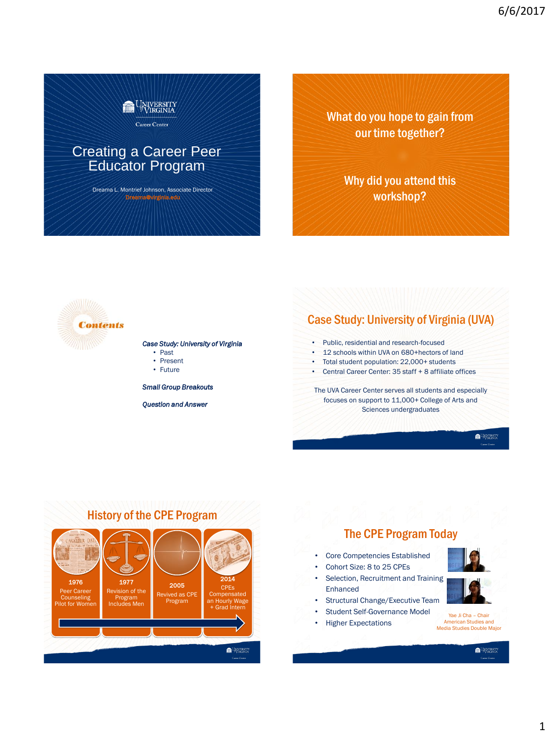

## Creating a Career Peer Educator Program

Dreama L. Montrief Johnson, Associate Director Dreama@virginia.edu

What do you hope to gain from our time together?

> Why did you attend this workshop?



### *Case Study: University of Virginia*

- Past
- Present
- Future

*Small Group Breakouts*

*Question and Answer*

## Case Study: University of Virginia (UVA)

- Public, residential and research-focused
- 12 schools within UVA on 680+hectors of land
- Total student population: 22,000+ students
- Central Career Center: 35 staff + 8 affiliate offices

The UVA Career Center serves all students and especially focuses on support to 11,000+ College of Arts and Sciences undergraduates

**INVERSITY** 

## History of the CPE Program



## The CPE Program Today

- Core Competencies Established
- Cohort Size: 8 to 25 CPEs
- Selection, Recruitment and Training Enhanced
- Structural Change/Executive Team
- Student Self-Governance Model
- Higher Expectations

**CALINATION**